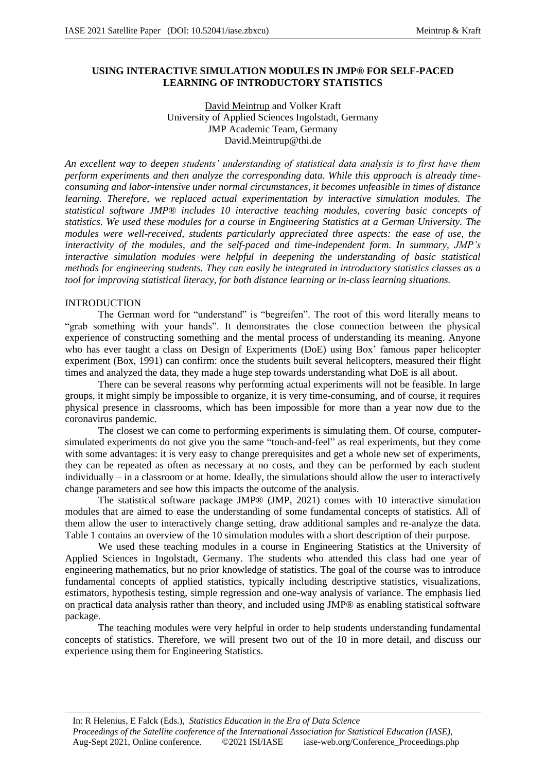## **USING INTERACTIVE SIMULATION MODULES IN JMP® FOR SELF-PACED LEARNING OF INTRODUCTORY STATISTICS**

## David Meintrup and Volker Kraft University of Applied Sciences Ingolstadt, Germany JMP Academic Team, Germany David.Meintrup@thi.de

*An excellent way to deepen students' understanding of statistical data analysis is to first have them perform experiments and then analyze the corresponding data. While this approach is already timeconsuming and labor-intensive under normal circumstances, it becomes unfeasible in times of distance learning. Therefore, we replaced actual experimentation by interactive simulation modules. The statistical software JMP® includes 10 interactive teaching modules, covering basic concepts of statistics. We used these modules for a course in Engineering Statistics at a German University. The modules were well-received, students particularly appreciated three aspects: the ease of use, the interactivity of the modules, and the self-paced and time-independent form. In summary, JMP's interactive simulation modules were helpful in deepening the understanding of basic statistical methods for engineering students. They can easily be integrated in introductory statistics classes as a tool for improving statistical literacy, for both distance learning or in-class learning situations.*

## INTRODUCTION

The German word for "understand" is "begreifen". The root of this word literally means to "grab something with your hands". It demonstrates the close connection between the physical experience of constructing something and the mental process of understanding its meaning. Anyone who has ever taught a class on Design of Experiments (DoE) using Box' famous paper helicopter experiment (Box, 1991) can confirm: once the students built several helicopters, measured their flight times and analyzed the data, they made a huge step towards understanding what DoE is all about.

There can be several reasons why performing actual experiments will not be feasible. In large groups, it might simply be impossible to organize, it is very time-consuming, and of course, it requires physical presence in classrooms, which has been impossible for more than a year now due to the coronavirus pandemic.

The closest we can come to performing experiments is simulating them. Of course, computersimulated experiments do not give you the same "touch-and-feel" as real experiments, but they come with some advantages: it is very easy to change prerequisites and get a whole new set of experiments, they can be repeated as often as necessary at no costs, and they can be performed by each student individually – in a classroom or at home. Ideally, the simulations should allow the user to interactively change parameters and see how this impacts the outcome of the analysis.

The statistical software package JMP® (JMP, 2021) comes with 10 interactive simulation modules that are aimed to ease the understanding of some fundamental concepts of statistics. All of them allow the user to interactively change setting, draw additional samples and re-analyze the data. Table 1 contains an overview of the 10 simulation modules with a short description of their purpose.

We used these teaching modules in a course in Engineering Statistics at the University of Applied Sciences in Ingolstadt, Germany. The students who attended this class had one year of engineering mathematics, but no prior knowledge of statistics. The goal of the course was to introduce fundamental concepts of applied statistics, typically including descriptive statistics, visualizations, estimators, hypothesis testing, simple regression and one-way analysis of variance. The emphasis lied on practical data analysis rather than theory, and included using JMP® as enabling statistical software package.

The teaching modules were very helpful in order to help students understanding fundamental concepts of statistics. Therefore, we will present two out of the 10 in more detail, and discuss our experience using them for Engineering Statistics.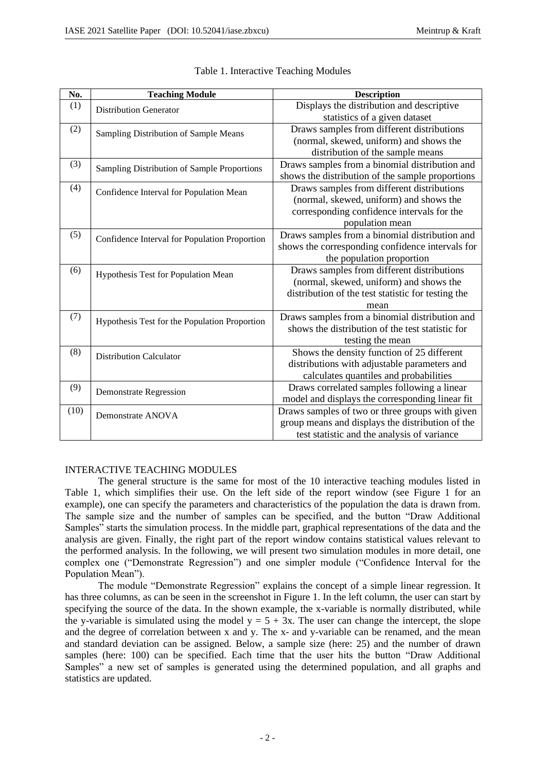| No.  | <b>Teaching Module</b>                        | <b>Description</b>                                 |
|------|-----------------------------------------------|----------------------------------------------------|
| (1)  | <b>Distribution Generator</b>                 | Displays the distribution and descriptive          |
|      |                                               | statistics of a given dataset                      |
| (2)  | Sampling Distribution of Sample Means         | Draws samples from different distributions         |
|      |                                               | (normal, skewed, uniform) and shows the            |
|      |                                               | distribution of the sample means                   |
| (3)  | Sampling Distribution of Sample Proportions   | Draws samples from a binomial distribution and     |
|      |                                               | shows the distribution of the sample proportions   |
| (4)  | Confidence Interval for Population Mean       | Draws samples from different distributions         |
|      |                                               | (normal, skewed, uniform) and shows the            |
|      |                                               | corresponding confidence intervals for the         |
|      |                                               | population mean                                    |
| (5)  | Confidence Interval for Population Proportion | Draws samples from a binomial distribution and     |
|      |                                               | shows the corresponding confidence intervals for   |
|      |                                               | the population proportion                          |
| (6)  | Hypothesis Test for Population Mean           | Draws samples from different distributions         |
|      |                                               | (normal, skewed, uniform) and shows the            |
|      |                                               | distribution of the test statistic for testing the |
|      |                                               | mean                                               |
| (7)  | Hypothesis Test for the Population Proportion | Draws samples from a binomial distribution and     |
|      |                                               | shows the distribution of the test statistic for   |
|      |                                               | testing the mean                                   |
| (8)  | <b>Distribution Calculator</b>                | Shows the density function of 25 different         |
|      |                                               | distributions with adjustable parameters and       |
|      |                                               | calculates quantiles and probabilities             |
| (9)  | <b>Demonstrate Regression</b>                 | Draws correlated samples following a linear        |
|      |                                               | model and displays the corresponding linear fit    |
| (10) | Demonstrate ANOVA                             | Draws samples of two or three groups with given    |
|      |                                               | group means and displays the distribution of the   |
|      |                                               | test statistic and the analysis of variance        |

### Table 1. Interactive Teaching Modules

# INTERACTIVE TEACHING MODULES

The general structure is the same for most of the 10 interactive teaching modules listed in Table 1, which simplifies their use. On the left side of the report window (see Figure 1 for an example), one can specify the parameters and characteristics of the population the data is drawn from. The sample size and the number of samples can be specified, and the button "Draw Additional Samples" starts the simulation process. In the middle part, graphical representations of the data and the analysis are given. Finally, the right part of the report window contains statistical values relevant to the performed analysis. In the following, we will present two simulation modules in more detail, one complex one ("Demonstrate Regression") and one simpler module ("Confidence Interval for the Population Mean").

The module "Demonstrate Regression" explains the concept of a simple linear regression. It has three columns, as can be seen in the screenshot in Figure 1. In the left column, the user can start by specifying the source of the data. In the shown example, the x-variable is normally distributed, while the y-variable is simulated using the model  $y = 5 + 3x$ . The user can change the intercept, the slope and the degree of correlation between x and y. The x- and y-variable can be renamed, and the mean and standard deviation can be assigned. Below, a sample size (here: 25) and the number of drawn samples (here: 100) can be specified. Each time that the user hits the button "Draw Additional Samples" a new set of samples is generated using the determined population, and all graphs and statistics are updated.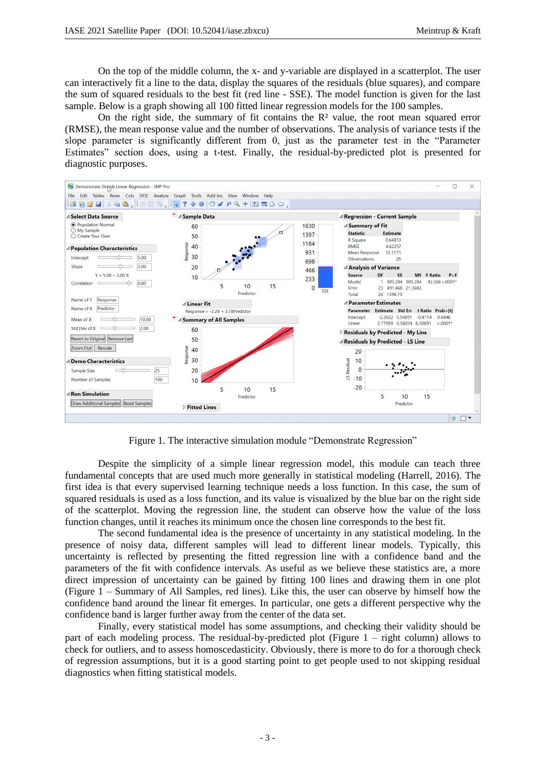On the top of the middle column, the x- and y-variable are displayed in a scatterplot. The user can interactively fit a line to the data, display the squares of the residuals (blue squares), and compare the sum of squared residuals to the best fit (red line - SSE). The model function is given for the last sample. Below is a graph showing all 100 fitted linear regression models for the 100 samples.

On the right side, the summary of fit contains the  $\mathbb{R}^2$  value, the root mean squared error (RMSE), the mean response value and the number of observations. The analysis of variance tests if the slope parameter is significantly different from 0, just as the parameter test in the "Parameter Estimates" section does, using a t-test. Finally, the residual-by-predicted plot is presented for diagnostic purposes.



Figure 1. The interactive simulation module "Demonstrate Regression"

Despite the simplicity of a simple linear regression model, this module can teach three fundamental concepts that are used much more generally in statistical modeling (Harrell, 2016). The first idea is that every supervised learning technique needs a loss function. In this case, the sum of squared residuals is used as a loss function, and its value is visualized by the blue bar on the right side of the scatterplot. Moving the regression line, the student can observe how the value of the loss function changes, until it reaches its minimum once the chosen line corresponds to the best fit.

The second fundamental idea is the presence of uncertainty in any statistical modeling. In the presence of noisy data, different samples will lead to different linear models. Typically, this uncertainty is reflected by presenting the fitted regression line with a confidence band and the parameters of the fit with confidence intervals. As useful as we believe these statistics are, a more direct impression of uncertainty can be gained by fitting 100 lines and drawing them in one plot (Figure 1 – Summary of All Samples, red lines). Like this, the user can observe by himself how the confidence band around the linear fit emerges. In particular, one gets a different perspective why the confidence band is larger further away from the center of the data set.

Finally, every statistical model has some assumptions, and checking their validity should be part of each modeling process. The residual-by-predicted plot (Figure  $1 -$  right column) allows to check for outliers, and to assess homoscedasticity. Obviously, there is more to do for a thorough check of regression assumptions, but it is a good starting point to get people used to not skipping residual diagnostics when fitting statistical models.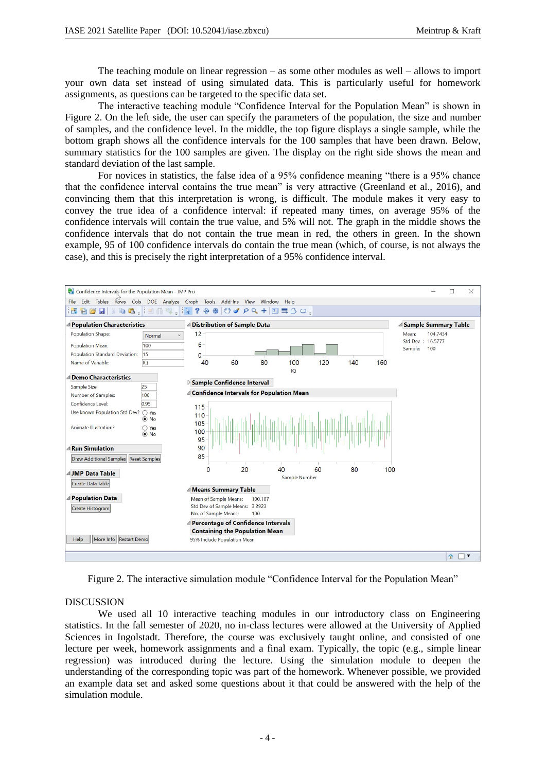The teaching module on linear regression – as some other modules as well – allows to import your own data set instead of using simulated data. This is particularly useful for homework assignments, as questions can be targeted to the specific data set.

The interactive teaching module "Confidence Interval for the Population Mean" is shown in Figure 2. On the left side, the user can specify the parameters of the population, the size and number of samples, and the confidence level. In the middle, the top figure displays a single sample, while the bottom graph shows all the confidence intervals for the 100 samples that have been drawn. Below, summary statistics for the 100 samples are given. The display on the right side shows the mean and standard deviation of the last sample.

For novices in statistics, the false idea of a 95% confidence meaning "there is a 95% chance that the confidence interval contains the true mean" is very attractive (Greenland et al., 2016), and convincing them that this interpretation is wrong, is difficult. The module makes it very easy to convey the true idea of a confidence interval: if repeated many times, on average 95% of the confidence intervals will contain the true value, and 5% will not. The graph in the middle shows the confidence intervals that do not contain the true mean in red, the others in green. In the shown example, 95 of 100 confidence intervals do contain the true mean (which, of course, is not always the case), and this is precisely the right interpretation of a 95% confidence interval.



Figure 2. The interactive simulation module "Confidence Interval for the Population Mean"

#### DISCUSSION

We used all 10 interactive teaching modules in our introductory class on Engineering statistics. In the fall semester of 2020, no in-class lectures were allowed at the University of Applied Sciences in Ingolstadt. Therefore, the course was exclusively taught online, and consisted of one lecture per week, homework assignments and a final exam. Typically, the topic (e.g., simple linear regression) was introduced during the lecture. Using the simulation module to deepen the understanding of the corresponding topic was part of the homework. Whenever possible, we provided an example data set and asked some questions about it that could be answered with the help of the simulation module.